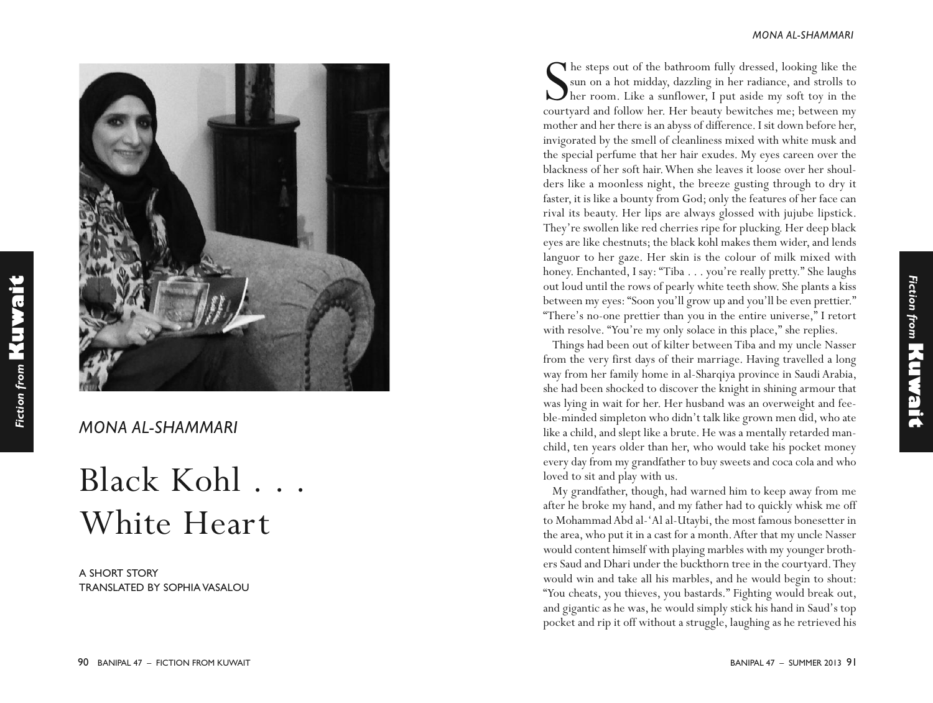

*MONA AL-SHAMMARI* 

## Black Kohl... White Heart

A SHORT STORY TRANSLATED BY SOPHIA VASALOU *Fiction*

*from*

**Kuwait**

S<sub>court</sub> he steps out of the bathroom fully dressed, looking like the sun on a hot midday, dazzling in her radiance, and strolls to her room. Like a sunflower, I put aside my soft toy in the courtyard and follow her. Her beauty bewitches me; between my mother and her there is an abyss of difference. I sit down before her, invigorated by the smell of cleanliness mixed with white musk and the special perfume that her hair exudes. My eyes careen over the blackness of her soft hair. When she leaves it loose over her shoulders like a moonless night, the breeze gusting through to dry it faster, it is like a bounty from God; only the features of her face can rival its beauty. Her lips are always glossed with jujube lipstick. They're swollen like red cherries ripe for plucking. Her deep black eyes are like chestnuts; the black kohl makes them wider, and lends languor to her gaze. Her skin is the colour of milk mixed with honey. Enchanted, I say: "Tiba . . . you're really pretty." She laughs out loud until the rows of pearly white teeth show. She plants a kiss between my eyes: "Soon you'll grow up and you'll be even prettier." "There's no-one prettier than you in the entire universe," I retort with resolve. "You're my only solace in this place," she replies.

Things had been out of kilter between Tiba and my uncle Nasser from the very first days of their marriage. Having travelled a long way from her family home in al-Sharqiya province in Saudi Arabia, she had been shocked to discover the knight in shining armour that was lying in wait for her. Her husband was an overweight and feeble-minded simpleton who didn't talk like grown men did, who ate like a child, and slept like a brute. He was a mentally retarded manchild, ten years older than her, who would take his pocket money every day from my grandfather to buy sweets and coca cola and who loved to sit and play with us.

My grandfather, though, had warned him to keep away from me after he broke my hand, and my father had to quickly whisk me off to Mohammad Abd al-'Al al-Utaybi, the most famous bonesetter in the area, who put it in a cast for a month. After that my uncle Nasser would content himself with playing marbles with my younger brothers Saud and Dhari under the buckthorn tree in the courtyard. They would win and take all his marbles, and he would begin to shout: "You cheats, you thieves, you bastards." Fighting would break out, and gigantic as he was, he would simply stick his hand in Saud's top pocket and rip it off without a struggle, laughing as he retrieved his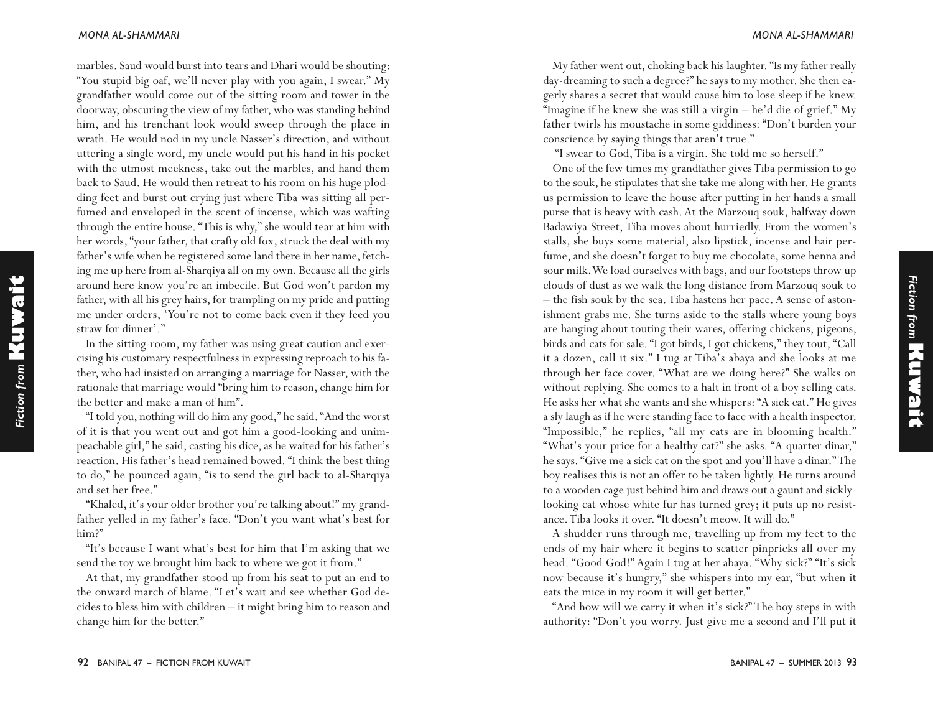marbles. Saud would burst into tears and Dhari would be shouting: "You stupid big oaf, we'll never play with you again, I swear." My grandfather would come out of the sitting room and tower in the doorway, obscuring the view of my father, who was standing behind him, and his trenchant look would sweep through the place in wrath. He would nod in my uncle Nasser's direction, and without uttering a single word, my uncle would put his hand in his pocket with the utmost meekness, take out the marbles, and hand them back to Saud. He would then retreat to his room on his huge plodding feet and burst out crying just where Tiba was sitting all perfumed and enveloped in the scent of incense, which was wafting through the entire house. "This is why," she would tear at him with her words, "your father, that crafty old fox, struck the deal with my father's wife when he registered some land there in her name, fetching me up here from al-Sharqiya all on my own. Because all the girls around here know you're an imbecile. But God won't pardon my father, with all his grey hairs, for trampling on my pride and putting me under orders, 'You're not to come back even if they feed you straw for dinner'."

In the sitting-room, my father was using great caution and exercising his customary respectfulness in expressing reproach to his father, who had insisted on arranging a marriage for Nasser, with the rationale that marriage would "bring him to reason, change him for the better and make a man of him".

"I told you, nothing will do him any good," he said. "And the worst of it is that you went out and got him a good-looking and unimpeachable girl," he said, casting his dice, as he waited for his father's reaction. His father's head remained bowed. "I think the best thing to do," he pounced again, "is to send the girl back to al-Sharqiya and set her free."

"Khaled, it's your older brother you're talking about!" my grandfather yelled in my father's face. "Don't you want what's best for him?"

"It's because I want what's best for him that I'm asking that we send the toy we brought him back to where we got it from."

At that, my grandfather stood up from his seat to put an end to the onward march of blame. "Let's wait and see whether God decides to bless him with children - it might bring him to reason and change him for the better."

My father went out, choking back his laughter. "Is my father really day-dreaming to such a degree?" he says to my mother. She then eagerly shares a secret that would cause him to lose sleep if he knew. "Imagine if he knew she was still a virgin – he'd die of grief." My father twirls his moustache in some giddiness: "Don't burden your conscience by saying things that aren't true."

"I swear to God, Tiba is a virgin. She told me so herself."

One of the few times my grandfather gives Tiba permission to go to the souk, he stipulates that she take me along with her. He grants us permission to leave the house after putting in her hands a small purse that is heavy with cash. At the Marzouq souk, halfway down Badawiya Street, Tiba moves about hurriedly. From the women's stalls, she buys some material, also lipstick, incense and hair perfume, and she doesn't forget to buy me chocolate, some henna and sour milk. We load ourselves with bags, and our footsteps throw up clouds of dust as we walk the long distance from Marzouq souk to – the fish souk by the sea. Tiba hastens her pace. A sense of astonishment grabs me. She turns aside to the stalls where young boys are hanging about touting their wares, offering chickens, pigeons, birds and cats for sale. "I got birds, I got chickens," they tout, "Call it a dozen, call it six." I tug at Tiba's abaya and she looks at me through her face cover. "What are we doing here?" She walks on without replying. She comes to a halt in front of a boy selling cats. He asks her what she wants and she whispers: "A sick cat." He gives a sly laugh as if he were standing face to face with a health inspector. "Impossible," he replies, "all my cats are in blooming health." "What's your price for a healthy cat?" she asks. "A quarter dinar," he says. "Give me a sick cat on the spot and you'll have a dinar." The boy realises this is not an offer to be taken lightly. He turns around to a wooden cage just behind him and draws out a gaunt and sicklylooking cat whose white fur has turned grey; it puts up no resistance. Tiba looks it over. "It doesn't meow. It will do."

A shudder runs through me, travelling up from my feet to the ends of my hair where it begins to scatter pinpricks all over my head. "Good God!" Again I tug at her abaya. "Why sick?" "It's sick now because it's hungry," she whispers into my ear, "but when it eats the mice in my room it will get better."

"And how will we carry it when it's sick?" The boy steps in with authority: "Don't you worry. Just give me a second and I'll put it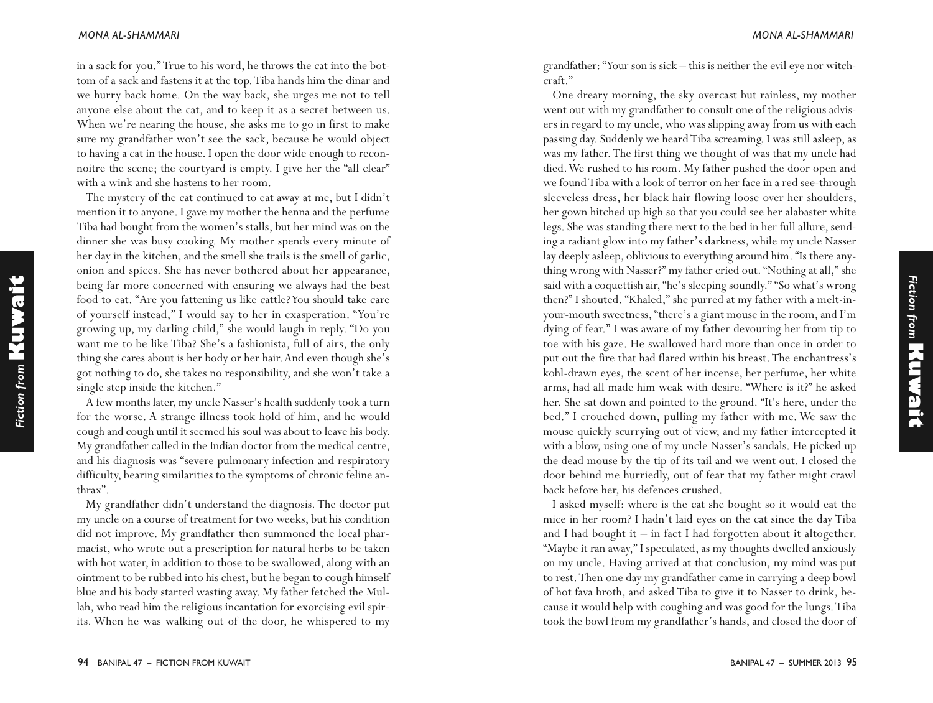*Fiction*

*from*

**Kuwait**

in a sack for you." True to his word, he throws the cat into the bottom of a sack and fastens it at the top. Tiba hands him the dinar and we hurry back home. On the way back, she urges me not to tell anyone else about the cat, and to keep it as a secret between us. When we're nearing the house, she asks me to go in first to make sure my grandfather won't see the sack, because he would object to having a cat in the house. I open the door wide enough to reconnoitre the scene; the courtyard is empty. I give her the "all clear" with a wink and she hastens to her room.

The mystery of the cat continued to eat away at me, but I didn't mention it to anyone. I gave my mother the henna and the perfume Tiba had bought from the women's stalls, but her mind was on the dinner she was busy cooking. My mother spends every minute of her day in the kitchen, and the smell she trails is the smell of garlic, onion and spices. She has never bothered about her appearance, being far more concerned with ensuring we always had the best food to eat. "Are you fattening us like cattle?You should take care of yourself instead," I would say to her in exasperation. "You're growing up, my darling child," she would laugh in reply. "Do you want me to be like Tiba? She's a fashionista, full of airs, the only thing she cares about is her body or her hair. And even though she's got nothing to do, she takes no responsibility, and she won't take a single step inside the kitchen."

A few months later, my uncle Nasser's health suddenly took a turn for the worse. A strange illness took hold of him, and he would cough and cough until it seemed his soul was about to leave his body. My grandfather called in the Indian doctor from the medical centre, and his diagnosis was "severe pulmonary infection and respiratory difficulty, bearing similarities to the symptoms of chronic feline anthrax".

My grandfather didn't understand the diagnosis. The doctor put my uncle on a course of treatment for two weeks, but his condition did not improve. My grandfather then summoned the local pharmacist, who wrote out a prescription for natural herbs to be taken with hot water, in addition to those to be swallowed, along with an ointment to be rubbed into his chest, but he began to cough himself blue and his body started wasting away. My father fetched the Mullah, who read him the religious incantation for exorcising evil spirits. When he was walking out of the door, he whispered to my

grandfather: "Your son is sick – this is neither the evil eye nor witchc r a ft . "

One dreary morning, the sky overcast but rainless, my mother went out with my grandfather to consult one of the religious advisers in regard to my uncle, who was slipping away from us with each passing day. Suddenly we heard Tiba screaming. I was still asleep, as was my father. The first thing we thought of was that my uncle had died. We rushed to his room. My father pushed the door open and we found Tiba with a look of terror on her face in a red see-through sleeveless dress, her black hair flowing loose over her shoulders, her gown hitched up high so that you could see her alabaster white legs. She was standing there next to the bed in her full allure, sending a radiant glow into my father's darkness, while my uncle Nasser lay deeply asleep, oblivious to everything around him. "Is there anything wrong with Nasser?" my father cried out. "Nothing at all," she said with a coquettish air, "he's sleeping soundly." "So what's wrong then?" I shouted. "Khaled," she purred at my father with a melt-inyour-mouth sweetness, "there's a giant mouse in the room, and I'm dying of fear." I was aware of my father devouring her from tip to toe with his gaze. He swallowed hard more than once in order to put out the fire that had flared within his breast. The enchantress's kohl-drawn eyes, the scent of her incense, her perfume, her white arms, had all made him weak with desire. "Where is it?" he asked her. She sat down and pointed to the ground. "It's here, under the bed." I crouched down, pulling my father with me. We saw the mouse quickly scurrying out of view, and my father intercepted it with a blow, using one of my uncle Nasser's sandals. He picked up the dead mouse by the tip of its tail and we went out. I closed the door behind me hurriedly, out of fear that my father might crawl back before her, his defences crushed.

I asked myself: where is the cat she bought so it would eat the mice in her room? I hadn't laid eyes on the cat since the day Tiba and I had bought it – in fact I had forgotten about it altogether. "Maybe it ran away," I speculated, as my thoughts dwelled anxiously on my uncle. Having arrived at that conclusion, my mind was put to rest. Then one day my grandfather came in carrying a deep bowl of hot fava broth, and asked Tiba to give it to Nasser to drink, because it would help with coughing and was good for the lungs. Tiba took the bowl from my grandfather's hands, and closed the door of